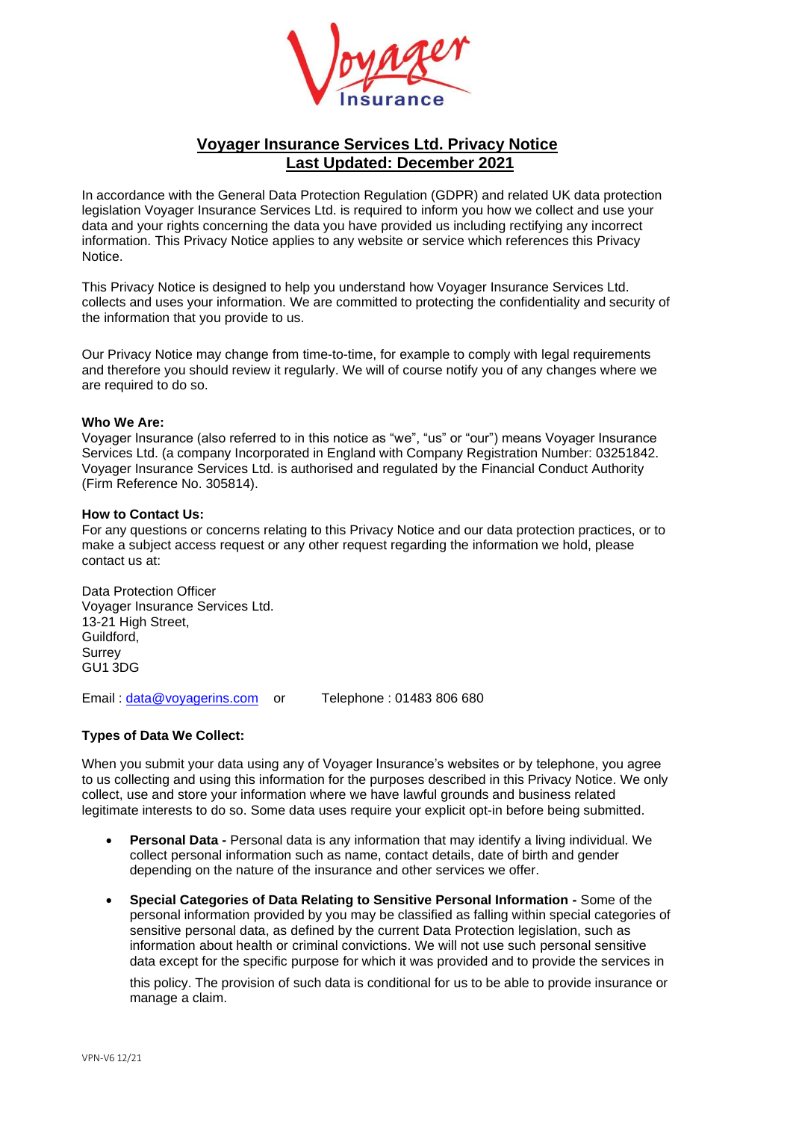

# **Voyager Insurance Services Ltd. Privacy Notice Last Updated: December 2021**

In accordance with the General Data Protection Regulation (GDPR) and related UK data protection legislation Voyager Insurance Services Ltd. is required to inform you how we collect and use your data and your rights concerning the data you have provided us including rectifying any incorrect information. This Privacy Notice applies to any website or service which references this Privacy Notice.

This Privacy Notice is designed to help you understand how Voyager Insurance Services Ltd. collects and uses your information. We are committed to protecting the confidentiality and security of the information that you provide to us.

Our Privacy Notice may change from time-to-time, for example to comply with legal requirements and therefore you should review it regularly. We will of course notify you of any changes where we are required to do so.

#### **Who We Are:**

Voyager Insurance (also referred to in this notice as "we", "us" or "our") means Voyager Insurance Services Ltd. (a company Incorporated in England with Company Registration Number: 03251842. Voyager Insurance Services Ltd. is authorised and regulated by the Financial Conduct Authority (Firm Reference No. 305814).

#### **How to Contact Us:**

For any questions or concerns relating to this Privacy Notice and our data protection practices, or to make a subject access request or any other request regarding the information we hold, please contact us at:

Data Protection Officer Voyager Insurance Services Ltd. 13-21 High Street. Guildford, **Surrey** GU1 3DG

Email : [data@voyagerins.com](mailto:data@voyagerins.com) or Telephone : 01483 806 680

## **Types of Data We Collect:**

When you submit your data using any of Voyager Insurance's websites or by telephone, you agree to us collecting and using this information for the purposes described in this Privacy Notice. We only collect, use and store your information where we have lawful grounds and business related legitimate interests to do so. Some data uses require your explicit opt-in before being submitted.

- **Personal Data -** Personal data is any information that may identify a living individual. We collect personal information such as name, contact details, date of birth and gender depending on the nature of the insurance and other services we offer.
- **Special Categories of Data Relating to Sensitive Personal Information -** Some of the personal information provided by you may be classified as falling within special categories of sensitive personal data, as defined by the current Data Protection legislation, such as information about health or criminal convictions. We will not use such personal sensitive data except for the specific purpose for which it was provided and to provide the services in

this policy. The provision of such data is conditional for us to be able to provide insurance or manage a claim.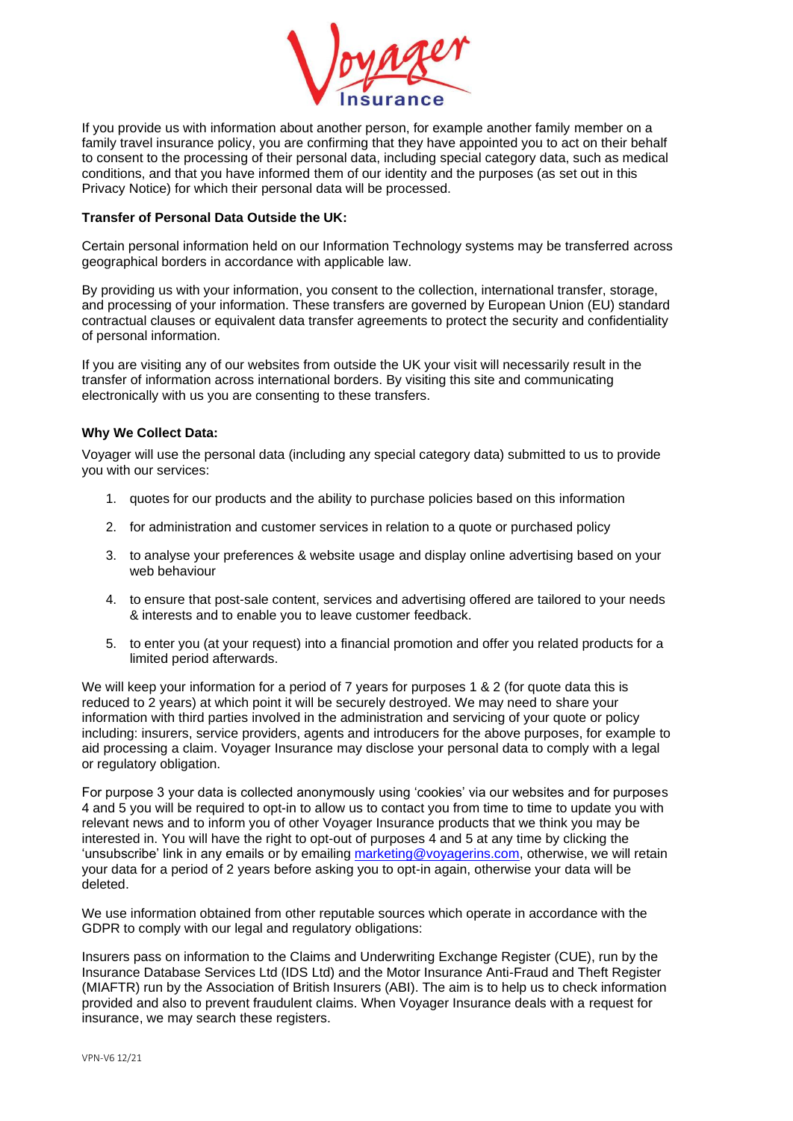

If you provide us with information about another person, for example another family member on a family travel insurance policy, you are confirming that they have appointed you to act on their behalf to consent to the processing of their personal data, including special category data, such as medical conditions, and that you have informed them of our identity and the purposes (as set out in this Privacy Notice) for which their personal data will be processed.

#### **Transfer of Personal Data Outside the UK:**

Certain personal information held on our Information Technology systems may be transferred across geographical borders in accordance with applicable law.

By providing us with your information, you consent to the collection, international transfer, storage, and processing of your information. These transfers are governed by European Union (EU) standard contractual clauses or equivalent data transfer agreements to protect the security and confidentiality of personal information.

If you are visiting any of our websites from outside the UK your visit will necessarily result in the transfer of information across international borders. By visiting this site and communicating electronically with us you are consenting to these transfers.

## **Why We Collect Data:**

Voyager will use the personal data (including any special category data) submitted to us to provide you with our services:

- 1. quotes for our products and the ability to purchase policies based on this information
- 2. for administration and customer services in relation to a quote or purchased policy
- 3. to analyse your preferences & website usage and display online advertising based on your web behaviour
- 4. to ensure that post-sale content, services and advertising offered are tailored to your needs & interests and to enable you to leave customer feedback.
- 5. to enter you (at your request) into a financial promotion and offer you related products for a limited period afterwards.

We will keep your information for a period of 7 years for purposes 1 & 2 (for quote data this is reduced to 2 years) at which point it will be securely destroyed. We may need to share your information with third parties involved in the administration and servicing of your quote or policy including: insurers, service providers, agents and introducers for the above purposes, for example to aid processing a claim. Voyager Insurance may disclose your personal data to comply with a legal or regulatory obligation.

For purpose 3 your data is collected anonymously using 'cookies' via our websites and for purposes 4 and 5 you will be required to opt-in to allow us to contact you from time to time to update you with relevant news and to inform you of other Voyager Insurance products that we think you may be interested in. You will have the right to opt-out of purposes 4 and 5 at any time by clicking the 'unsubscribe' link in any emails or by emailing [marketing@voyagerins.com,](mailto:marketing@voyagerins.com) otherwise, we will retain your data for a period of 2 years before asking you to opt-in again, otherwise your data will be deleted.

We use information obtained from other reputable sources which operate in accordance with the GDPR to comply with our legal and regulatory obligations:

Insurers pass on information to the Claims and Underwriting Exchange Register (CUE), run by the Insurance Database Services Ltd (IDS Ltd) and the Motor Insurance Anti-Fraud and Theft Register (MIAFTR) run by the Association of British Insurers (ABI). The aim is to help us to check information provided and also to prevent fraudulent claims. When Voyager Insurance deals with a request for insurance, we may search these registers.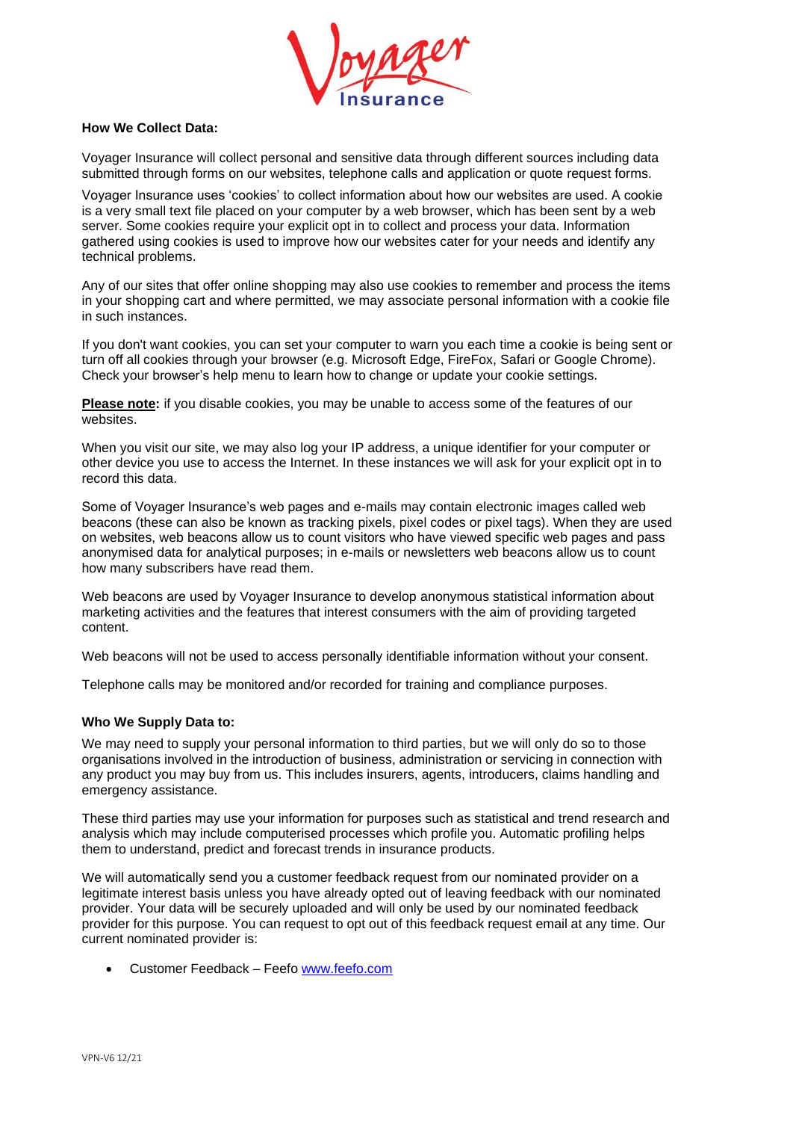

## **How We Collect Data:**

Voyager Insurance will collect personal and sensitive data through different sources including data submitted through forms on our websites, telephone calls and application or quote request forms.

Voyager Insurance uses 'cookies' to collect information about how our websites are used. A cookie is a very small text file placed on your computer by a web browser, which has been sent by a web server. Some cookies require your explicit opt in to collect and process your data. Information gathered using cookies is used to improve how our websites cater for your needs and identify any technical problems.

Any of our sites that offer online shopping may also use cookies to remember and process the items in your shopping cart and where permitted, we may associate personal information with a cookie file in such instances.

If you don't want cookies, you can set your computer to warn you each time a cookie is being sent or turn off all cookies through your browser (e.g. Microsoft Edge, FireFox, Safari or Google Chrome). Check your browser's help menu to learn how to change or update your cookie settings.

**Please note:** if you disable cookies, you may be unable to access some of the features of our websites.

When you visit our site, we may also log your IP address, a unique identifier for your computer or other device you use to access the Internet. In these instances we will ask for your explicit opt in to record this data.

Some of Voyager Insurance's web pages and e-mails may contain electronic images called web beacons (these can also be known as tracking pixels, pixel codes or pixel tags). When they are used on websites, web beacons allow us to count visitors who have viewed specific web pages and pass anonymised data for analytical purposes; in e-mails or newsletters web beacons allow us to count how many subscribers have read them.

Web beacons are used by Voyager Insurance to develop anonymous statistical information about marketing activities and the features that interest consumers with the aim of providing targeted content.

Web beacons will not be used to access personally identifiable information without your consent.

Telephone calls may be monitored and/or recorded for training and compliance purposes.

## **Who We Supply Data to:**

We may need to supply your personal information to third parties, but we will only do so to those organisations involved in the introduction of business, administration or servicing in connection with any product you may buy from us. This includes insurers, agents, introducers, claims handling and emergency assistance.

These third parties may use your information for purposes such as statistical and trend research and analysis which may include computerised processes which profile you. Automatic profiling helps them to understand, predict and forecast trends in insurance products.

We will automatically send you a customer feedback request from our nominated provider on a legitimate interest basis unless you have already opted out of leaving feedback with our nominated provider. Your data will be securely uploaded and will only be used by our nominated feedback provider for this purpose. You can request to opt out of this feedback request email at any time. Our current nominated provider is:

• Customer Feedback – Feefo [www.feefo.com](http://www.feefo.com/)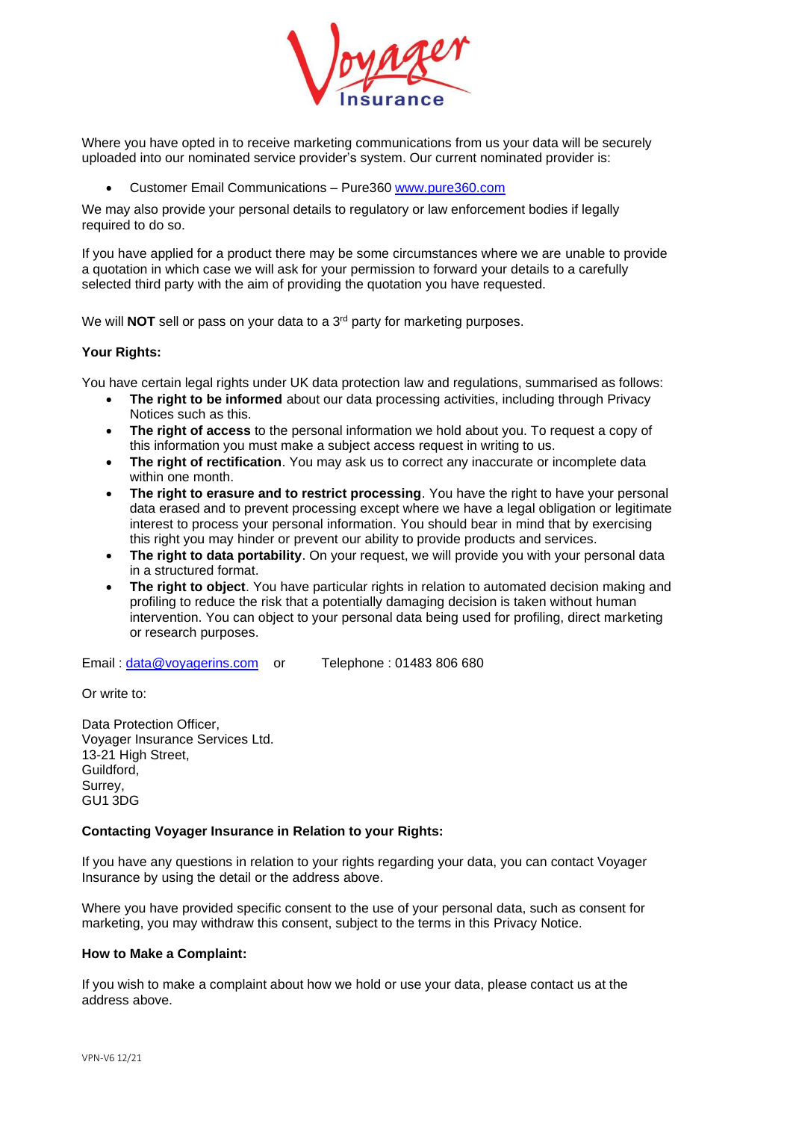

Where you have opted in to receive marketing communications from us your data will be securely uploaded into our nominated service provider's system. Our current nominated provider is:

• Customer Email Communications – Pure360 [www.pure360.com](http://www.pure360.com/)

We may also provide your personal details to regulatory or law enforcement bodies if legally required to do so.

If you have applied for a product there may be some circumstances where we are unable to provide a quotation in which case we will ask for your permission to forward your details to a carefully selected third party with the aim of providing the quotation you have requested.

We will **NOT** sell or pass on your data to a 3 rd party for marketing purposes.

#### **Your Rights:**

You have certain legal rights under UK data protection law and regulations, summarised as follows:

- **The right to be informed** about our data processing activities, including through Privacy Notices such as this.
- **The right of access** to the personal information we hold about you. To request a copy of this information you must make a subject access request in writing to us.
- **The right of rectification**. You may ask us to correct any inaccurate or incomplete data within one month.
- **The right to erasure and to restrict processing**. You have the right to have your personal data erased and to prevent processing except where we have a legal obligation or legitimate interest to process your personal information. You should bear in mind that by exercising this right you may hinder or prevent our ability to provide products and services.
- **The right to data portability**. On your request, we will provide you with your personal data in a structured format.
- **The right to object**. You have particular rights in relation to automated decision making and profiling to reduce the risk that a potentially damaging decision is taken without human intervention. You can object to your personal data being used for profiling, direct marketing or research purposes.

Email: [data@voyagerins.com](mailto:data@voyagerins.com) or Telephone: 01483 806 680

Or write to:

Data Protection Officer, Voyager Insurance Services Ltd. 13-21 High Street, Guildford, Surrey, GU1 3DG

#### **Contacting Voyager Insurance in Relation to your Rights:**

If you have any questions in relation to your rights regarding your data, you can contact Voyager Insurance by using the detail or the address above.

Where you have provided specific consent to the use of your personal data, such as consent for marketing, you may withdraw this consent, subject to the terms in this Privacy Notice.

## **How to Make a Complaint:**

If you wish to make a complaint about how we hold or use your data, please contact us at the address above.